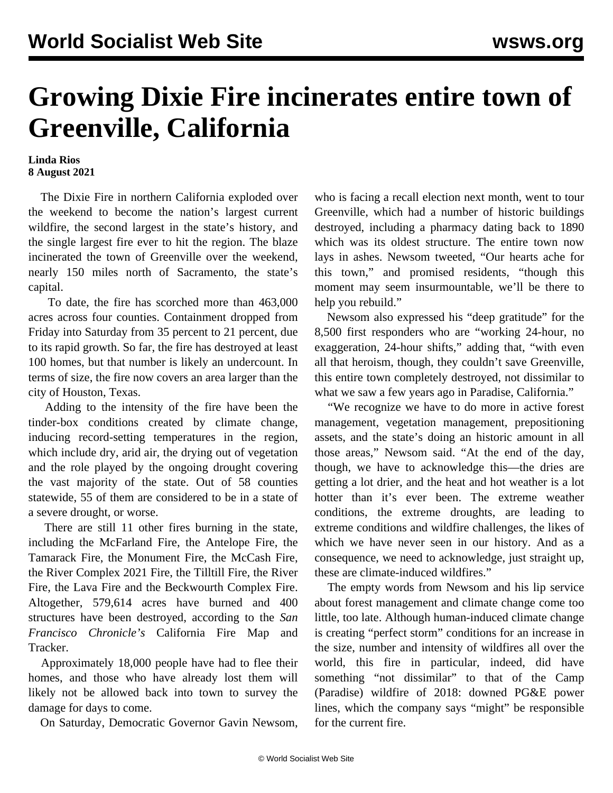## **Growing Dixie Fire incinerates entire town of Greenville, California**

## **Linda Rios 8 August 2021**

 The Dixie Fire in northern California exploded over the weekend to become the nation's largest current wildfire, the second largest in the state's history, and the single largest fire ever to hit the region. The blaze incinerated the town of Greenville over the weekend, nearly 150 miles north of Sacramento, the state's capital.

 To date, the fire has scorched more than 463,000 acres across four counties. Containment dropped from Friday into Saturday from 35 percent to 21 percent, due to its rapid growth. So far, the fire has destroyed at least 100 homes, but that number is likely an undercount. In terms of size, the fire now covers an area larger than the city of Houston, Texas.

 Adding to the intensity of the fire have been the tinder-box conditions created by climate change, inducing record-setting temperatures in the region, which include dry, arid air, the drying out of vegetation and the role played by the ongoing drought covering the vast majority of the state. Out of 58 counties statewide, 55 of them are considered to be in a state of a severe drought, or worse.

 There are still 11 other fires burning in the state, including the McFarland Fire, the Antelope Fire, the Tamarack Fire, the Monument Fire, the McCash Fire, the River Complex 2021 Fire, the Tilltill Fire, the River Fire, the Lava Fire and the Beckwourth Complex Fire. Altogether, 579,614 acres have burned and 400 structures have been destroyed, according to the *San Francisco Chronicle's* California Fire Map and Tracker.

 Approximately 18,000 people have had to flee their homes, and those who have already lost them will likely not be allowed back into town to survey the damage for days to come.

On Saturday, Democratic Governor Gavin Newsom,

who is facing a recall election next month, went to tour Greenville, which had a number of historic buildings destroyed, including a pharmacy dating back to 1890 which was its oldest structure. The entire town now lays in ashes. Newsom tweeted, "Our hearts ache for this town," and promised residents, "though this moment may seem insurmountable, we'll be there to help you rebuild."

 Newsom also expressed his "deep gratitude" for the 8,500 first responders who are "working 24-hour, no exaggeration, 24-hour shifts," adding that, "with even all that heroism, though, they couldn't save Greenville, this entire town completely destroyed, not dissimilar to what we saw a few years ago in Paradise, California."

 "We recognize we have to do more in active forest management, vegetation management, prepositioning assets, and the state's doing an historic amount in all those areas," Newsom said. "At the end of the day, though, we have to acknowledge this—the dries are getting a lot drier, and the heat and hot weather is a lot hotter than it's ever been. The extreme weather conditions, the extreme droughts, are leading to extreme conditions and wildfire challenges, the likes of which we have never seen in our history. And as a consequence, we need to acknowledge, just straight up, these are climate-induced wildfires."

 The empty words from Newsom and his lip service about forest management and climate change come too little, too late. Although human-induced climate change is creating "perfect storm" conditions for an increase in the size, number and intensity of wildfires all over the world, this fire in particular, indeed, did have something "not dissimilar" to that of the Camp (Paradise) wildfire of 2018: downed PG&E power lines, which the company says "might" be responsible for the current fire.